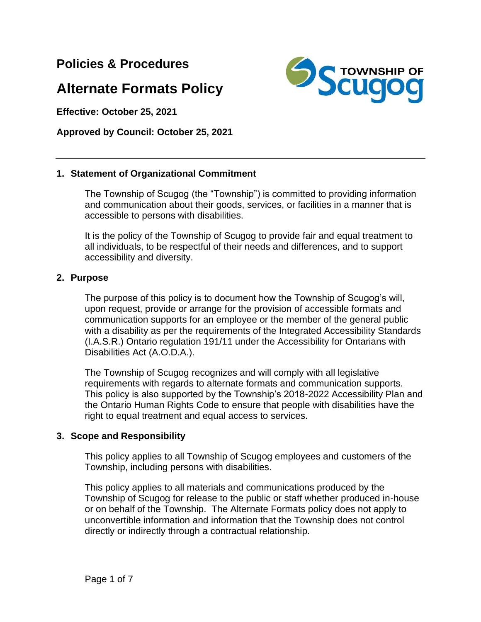**Policies & Procedures** 

# **Alternate Formats Policy**

**Effective: October 25, 2021**

**Approved by Council: October 25, 2021**

## **1. Statement of Organizational Commitment**

The Township of Scugog (the "Township") is committed to providing information and communication about their goods, services, or facilities in a manner that is accessible to persons with disabilities.

It is the policy of the Township of Scugog to provide fair and equal treatment to all individuals, to be respectful of their needs and differences, and to support accessibility and diversity.

## **2. Purpose**

The purpose of this policy is to document how the Township of Scugog's will, upon request, provide or arrange for the provision of accessible formats and communication supports for an employee or the member of the general public with a disability as per the requirements of the Integrated Accessibility Standards (I.A.S.R.) Ontario regulation 191/11 under the Accessibility for Ontarians with Disabilities Act (A.O.D.A.).

The Township of Scugog recognizes and will comply with all legislative requirements with regards to alternate formats and communication supports. This policy is also supported by the Township's 2018-2022 Accessibility Plan and the Ontario Human Rights Code to ensure that people with disabilities have the right to equal treatment and equal access to services.

## **3. Scope and Responsibility**

This policy applies to all Township of Scugog employees and customers of the Township, including persons with disabilities.

This policy applies to all materials and communications produced by the Township of Scugog for release to the public or staff whether produced in-house or on behalf of the Township. The Alternate Formats policy does not apply to unconvertible information and information that the Township does not control directly or indirectly through a contractual relationship.



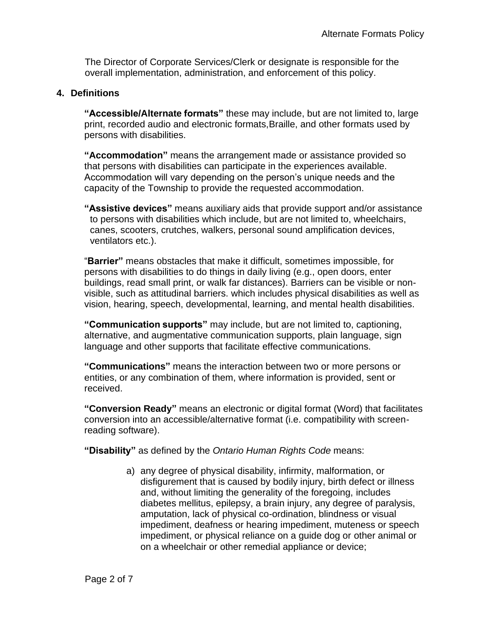The Director of Corporate Services/Clerk or designate is responsible for the overall implementation, administration, and enforcement of this policy.

## **4. Definitions**

**"Accessible/Alternate formats"** these may include, but are not limited to, large print, recorded audio and electronic formats,Braille, and other formats used by persons with disabilities.

**"Accommodation"** means the arrangement made or assistance provided so that persons with disabilities can participate in the experiences available. Accommodation will vary depending on the person's unique needs and the capacity of the Township to provide the requested accommodation.

**"Assistive devices"** means auxiliary aids that provide support and/or assistance to persons with disabilities which include, but are not limited to, wheelchairs, canes, scooters, crutches, walkers, personal sound amplification devices, ventilators etc.).

"**Barrier"** means obstacles that make it difficult, sometimes impossible, for persons with disabilities to do things in daily living (e.g., open doors, enter buildings, read small print, or walk far distances). Barriers can be visible or nonvisible, such as attitudinal barriers. which includes physical disabilities as well as vision, hearing, speech, developmental, learning, and mental health disabilities.

**"Communication supports"** may include, but are not limited to, captioning, alternative, and augmentative communication supports, plain language, sign language and other supports that facilitate effective communications.

**"Communications"** means the interaction between two or more persons or entities, or any combination of them, where information is provided, sent or received.

**"Conversion Ready"** means an electronic or digital format (Word) that facilitates conversion into an accessible/alternative format (i.e. compatibility with screenreading software).

**"Disability"** as defined by the *Ontario Human Rights Code* means:

a) any degree of physical disability, infirmity, malformation, or disfigurement that is caused by bodily injury, birth defect or illness and, without limiting the generality of the foregoing, includes diabetes mellitus, epilepsy, a brain injury, any degree of paralysis, amputation, lack of physical co-ordination, blindness or visual impediment, deafness or hearing impediment, muteness or speech impediment, or physical reliance on a guide dog or other animal or on a wheelchair or other remedial appliance or device;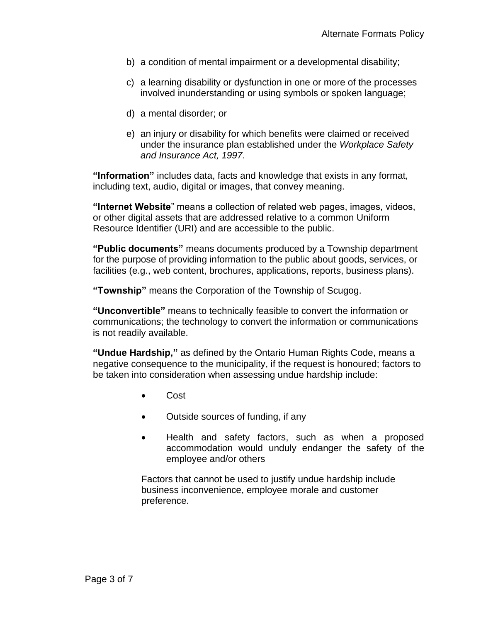- b) a condition of mental impairment or a developmental disability;
- c) a learning disability or dysfunction in one or more of the processes involved inunderstanding or using symbols or spoken language;
- d) a mental disorder; or
- e) an injury or disability for which benefits were claimed or received under the insurance plan established under the *Workplace Safety and Insurance Act, 1997*.

**"Information"** includes data, facts and knowledge that exists in any format, including text, audio, digital or images, that convey meaning.

**"Internet Website**" means a collection of related web pages, images, videos, or other digital assets that are addressed relative to a common Uniform Resource Identifier (URI) and are accessible to the public.

**"Public documents"** means documents produced by a Township department for the purpose of providing information to the public about goods, services, or facilities (e.g., web content, brochures, applications, reports, business plans).

**"Township"** means the Corporation of the Township of Scugog.

**"Unconvertible"** means to technically feasible to convert the information or communications; the technology to convert the information or communications is not readily available.

**"Undue Hardship,"** as defined by the Ontario Human Rights Code, means a negative consequence to the municipality, if the request is honoured; factors to be taken into consideration when assessing undue hardship include:

- Cost
- Outside sources of funding, if any
- Health and safety factors, such as when a proposed accommodation would unduly endanger the safety of the employee and/or others

Factors that cannot be used to justify undue hardship include business inconvenience, employee morale and customer preference.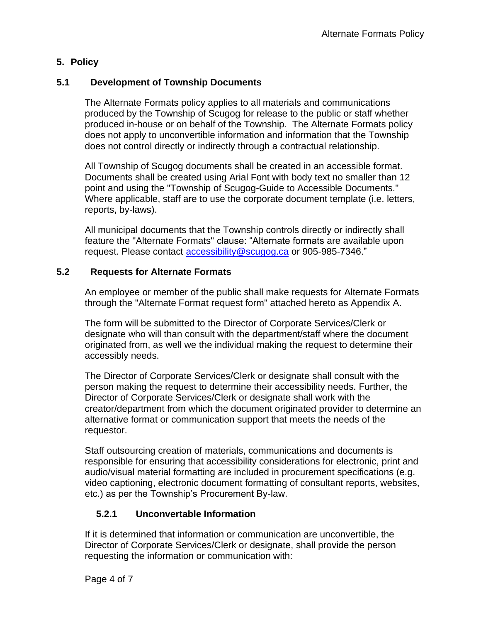# **5. Policy**

# **5.1 Development of Township Documents**

The Alternate Formats policy applies to all materials and communications produced by the Township of Scugog for release to the public or staff whether produced in-house or on behalf of the Township. The Alternate Formats policy does not apply to unconvertible information and information that the Township does not control directly or indirectly through a contractual relationship.

All Township of Scugog documents shall be created in an accessible format. Documents shall be created using Arial Font with body text no smaller than 12 point and using the "Township of Scugog-Guide to Accessible Documents." Where applicable, staff are to use the corporate document template (i.e. letters, reports, by-laws).

All municipal documents that the Township controls directly or indirectly shall feature the "Alternate Formats" clause: "Alternate formats are available upon request. Please contact [accessibility@scugog.ca](mailto:accessibility@scugog.ca) or 905-985-7346."

## **5.2 Requests for Alternate Formats**

An employee or member of the public shall make requests for Alternate Formats through the "Alternate Format request form" attached hereto as Appendix A.

The form will be submitted to the Director of Corporate Services/Clerk or designate who will than consult with the department/staff where the document originated from, as well we the individual making the request to determine their accessibly needs.

The Director of Corporate Services/Clerk or designate shall consult with the person making the request to determine their accessibility needs. Further, the Director of Corporate Services/Clerk or designate shall work with the creator/department from which the document originated provider to determine an alternative format or communication support that meets the needs of the requestor.

Staff outsourcing creation of materials, communications and documents is responsible for ensuring that accessibility considerations for electronic, print and audio/visual material formatting are included in procurement specifications (e.g. video captioning, electronic document formatting of consultant reports, websites, etc.) as per the Township's Procurement By-law.

# **5.2.1 Unconvertable Information**

If it is determined that information or communication are unconvertible, the Director of Corporate Services/Clerk or designate, shall provide the person requesting the information or communication with: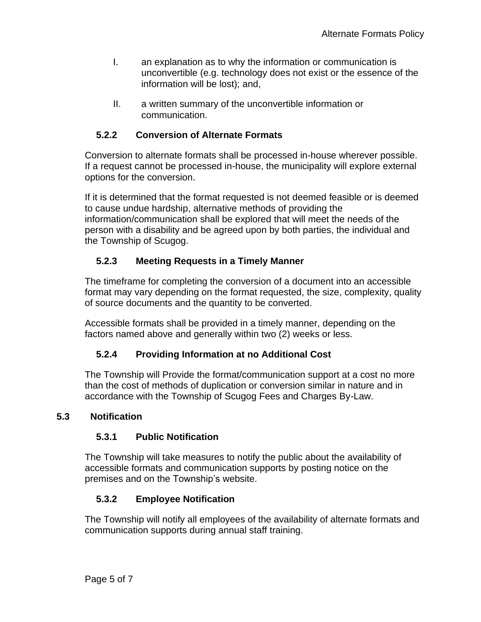- I. an explanation as to why the information or communication is unconvertible (e.g. technology does not exist or the essence of the information will be lost); and,
- II. a written summary of the unconvertible information or communication.

# **5.2.2 Conversion of Alternate Formats**

Conversion to alternate formats shall be processed in-house wherever possible. If a request cannot be processed in-house, the municipality will explore external options for the conversion.

If it is determined that the format requested is not deemed feasible or is deemed to cause undue hardship, alternative methods of providing the information/communication shall be explored that will meet the needs of the person with a disability and be agreed upon by both parties, the individual and the Township of Scugog.

# **5.2.3 Meeting Requests in a Timely Manner**

The timeframe for completing the conversion of a document into an accessible format may vary depending on the format requested, the size, complexity, quality of source documents and the quantity to be converted.

Accessible formats shall be provided in a timely manner, depending on the factors named above and generally within two (2) weeks or less.

# **5.2.4 Providing Information at no Additional Cost**

The Township will Provide the format/communication support at a cost no more than the cost of methods of duplication or conversion similar in nature and in accordance with the Township of Scugog Fees and Charges By-Law.

## **5.3 Notification**

# **5.3.1 Public Notification**

The Township will take measures to notify the public about the availability of accessible formats and communication supports by posting notice on the premises and on the Township's website.

# **5.3.2 Employee Notification**

The Township will notify all employees of the availability of alternate formats and communication supports during annual staff training.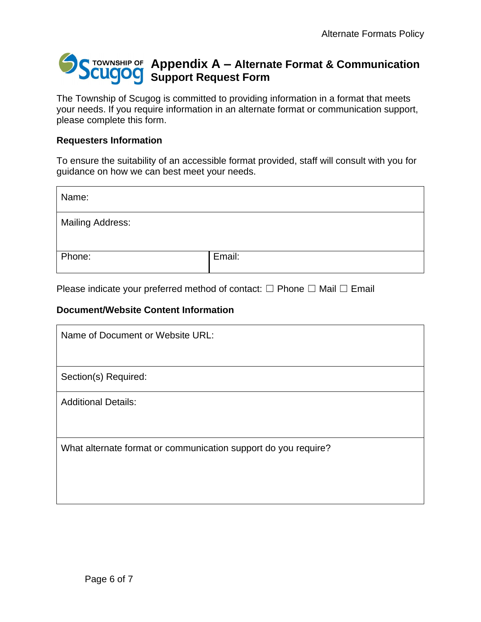# **Appendix A – Alternate Format & Communication Support Request Form**

The Township of Scugog is committed to providing information in a format that meets your needs. If you require information in an alternate format or communication support, please complete this form.

## **Requesters Information**

To ensure the suitability of an accessible format provided, staff will consult with you for guidance on how we can best meet your needs.

| Name:                   |        |
|-------------------------|--------|
| <b>Mailing Address:</b> |        |
| Phone:                  | Email: |

Please indicate your preferred method of contact:  $\Box$  Phone  $\Box$  Mail  $\Box$  Email

# **Document/Website Content Information**

| Name of Document or Website URL:                               |  |
|----------------------------------------------------------------|--|
|                                                                |  |
| Section(s) Required:                                           |  |
| <b>Additional Details:</b>                                     |  |
|                                                                |  |
| What alternate format or communication support do you require? |  |
|                                                                |  |
|                                                                |  |